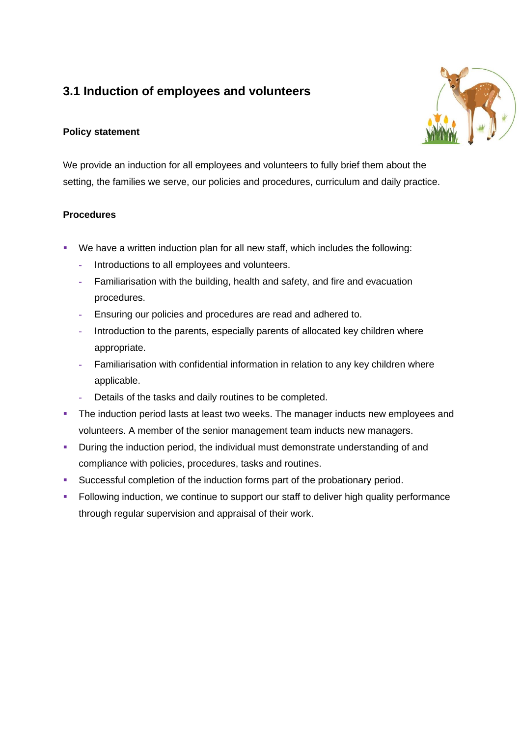# **3.1 Induction of employees and volunteers**

### **Policy statement**

We provide an induction for all employees and volunteers to fully brief them about the setting, the families we serve, our policies and procedures, curriculum and daily practice.

### **Procedures**

- We have a written induction plan for all new staff, which includes the following:
	- **-** Introductions to all employees and volunteers.
	- **-** Familiarisation with the building, health and safety, and fire and evacuation procedures.
	- **-** Ensuring our policies and procedures are read and adhered to.
	- **-** Introduction to the parents, especially parents of allocated key children where appropriate.
	- **-** Familiarisation with confidential information in relation to any key children where applicable.
	- **-** Details of the tasks and daily routines to be completed.
- **The induction period lasts at least two weeks. The manager inducts new employees and** volunteers. A member of the senior management team inducts new managers.
- **•** During the induction period, the individual must demonstrate understanding of and compliance with policies, procedures, tasks and routines.
- Successful completion of the induction forms part of the probationary period.
- **Following induction, we continue to support our staff to deliver high quality performance** through regular supervision and appraisal of their work.

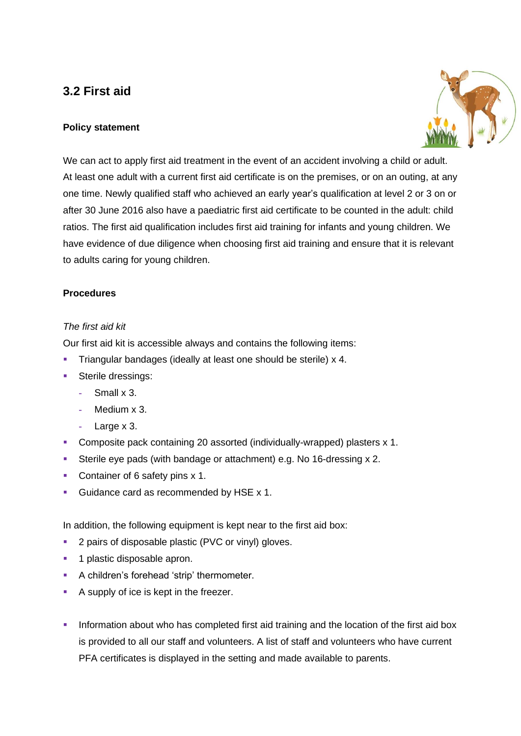## **3.2 First aid**

### **Policy statement**



We can act to apply first aid treatment in the event of an accident involving a child or adult. At least one adult with a current first aid certificate is on the premises, or on an outing, at any one time. Newly qualified staff who achieved an early year's qualification at level 2 or 3 on or after 30 June 2016 also have a paediatric first aid certificate to be counted in the adult: child ratios. The first aid qualification includes first aid training for infants and young children. We have evidence of due diligence when choosing first aid training and ensure that it is relevant to adults caring for young children.

### **Procedures**

#### *The first aid kit*

Our first aid kit is accessible always and contains the following items:

- **EXECT** Triangular bandages (ideally at least one should be sterile) x 4.
- Sterile dressings:
	- **-** Small x 3.
	- **-** Medium x 3.
	- **-** Large x 3.
- Composite pack containing 20 assorted (individually-wrapped) plasters x 1.
- Sterile eye pads (with bandage or attachment) e.g. No 16-dressing x 2.
- Container of 6 safety pins x 1.
- Guidance card as recommended by HSE x 1.

In addition, the following equipment is kept near to the first aid box:

- 2 pairs of disposable plastic (PVC or vinyl) gloves.
- 1 plastic disposable apron.
- A children's forehead 'strip' thermometer.
- A supply of ice is kept in the freezer.
- **·** Information about who has completed first aid training and the location of the first aid box is provided to all our staff and volunteers. A list of staff and volunteers who have current PFA certificates is displayed in the setting and made available to parents.